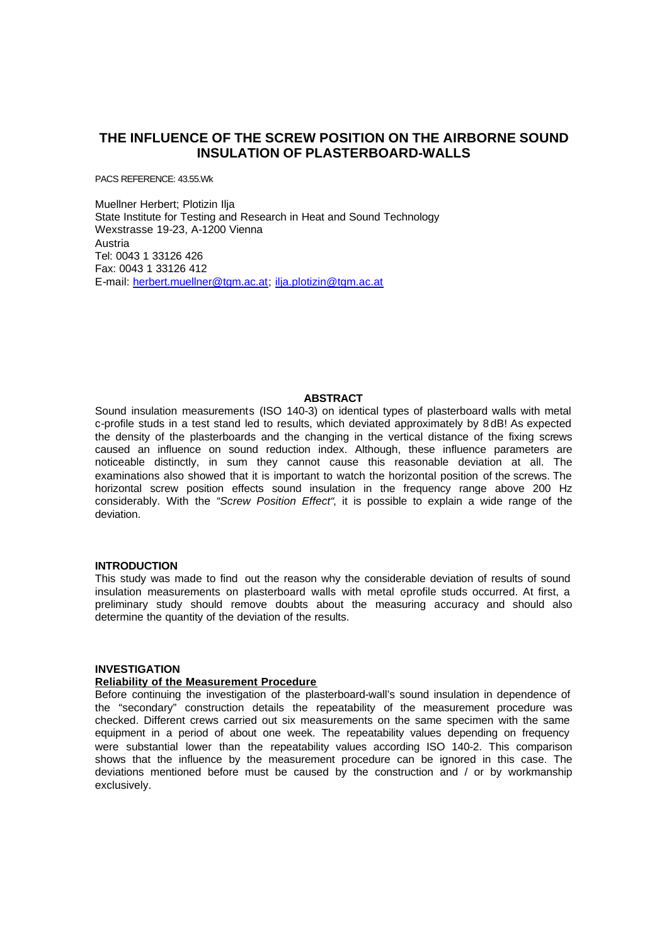# **THE INFLUENCE OF THE SCREW POSITION ON THE AIRBORNE SOUND INSULATION OF PLASTERBOARD-WALLS**

PACS REFERENCE: 43.55.Wk

Muellner Herbert; Plotizin Ilja State Institute for Testing and Research in Heat and Sound Technology Wexstrasse 19-23, A-1200 Vienna Austria Tel: 0043 1 33126 426 Fax: 0043 1 33126 412 E-mail: herbert.muellner@tgm.ac.at; ilja.plotizin@tgm.ac.at

# **ABSTRACT**

Sound insulation measurements (ISO 140-3) on identical types of plasterboard walls with metal c-profile studs in a test stand led to results, which deviated approximately by 8 dB! As expected the density of the plasterboards and the changing in the vertical distance of the fixing screws caused an influence on sound reduction index. Although, these influence parameters are noticeable distinctly, in sum they cannot cause this reasonable deviation at all. The examinations also showed that it is important to watch the horizontal position of the screws. The horizontal screw position effects sound insulation in the frequency range above 200 Hz considerably. With the *"Screw Position Effect"*, it is possible to explain a wide range of the deviation.

## **INTRODUCTION**

This study was made to find out the reason why the considerable deviation of results of sound insulation measurements on plasterboard walls with metal eprofile studs occurred. At first, a preliminary study should remove doubts about the measuring accuracy and should also determine the quantity of the deviation of the results.

# **INVESTIGATION**

#### **Reliability of the Measurement Procedure**

Before continuing the investigation of the plasterboard-wall's sound insulation in dependence of the "secondary" construction details the repeatability of the measurement procedure was checked. Different crews carried out six measurements on the same specimen with the same equipment in a period of about one week. The repeatability values depending on frequency were substantial lower than the repeatability values according ISO 140-2. This comparison shows that the influence by the measurement procedure can be ignored in this case. The deviations mentioned before must be caused by the construction and / or by workmanship exclusively.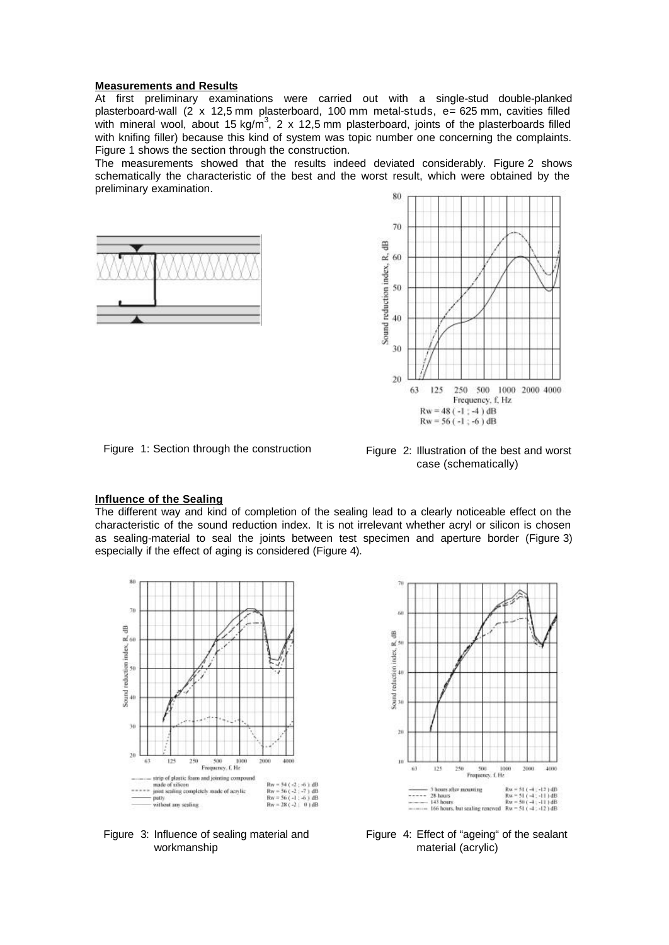#### **Measurements and Results**

At first preliminary examinations were carried out with a single-stud double-planked plasterboard-wall (2 x 12,5 mm plasterboard, 100 mm metal-studs, e= 625 mm, cavities filled with mineral wool, about 15 kg/m<sup>3</sup>, 2 x 12,5 mm plasterboard, joints of the plasterboards filled with knifing filler) because this kind of system was topic number one concerning the complaints. Figure 1 shows the section through the construction.

The measurements showed that the results indeed deviated considerably. Figure 2 shows schematically the characteristic of the best and the worst result, which were obtained by the preliminary examination.







#### **Influence of the Sealing**

The different way and kind of completion of the sealing lead to a clearly noticeable effect on the characteristic of the sound reduction index. It is not irrelevant whether acryl or silicon is chosen as sealing-material to seal the joints between test specimen and aperture border (Figure 3) especially if the effect of aging is considered (Figure 4).





Figure 3: Influence of sealing material and workmanship

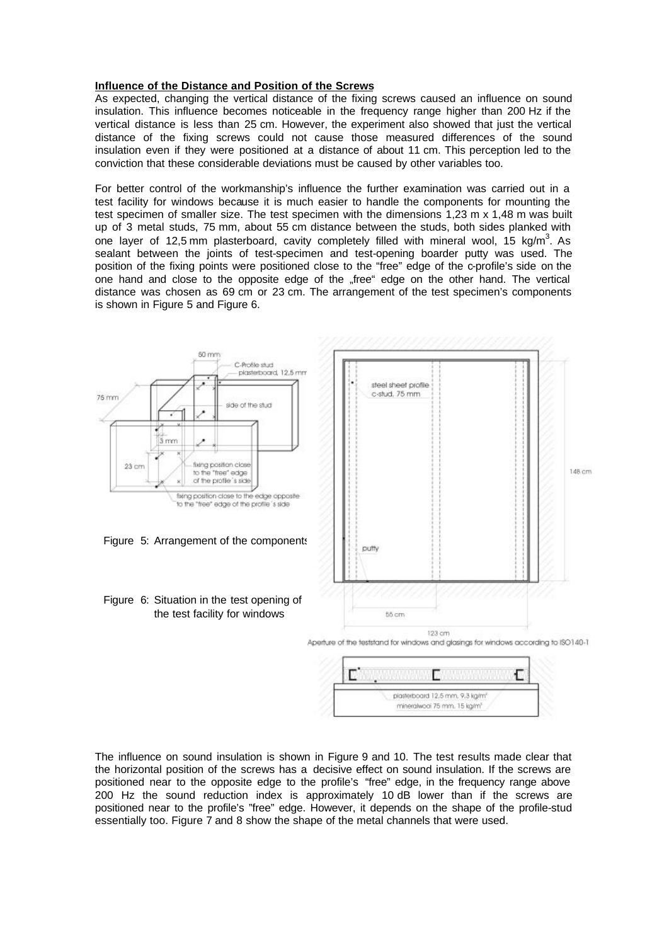#### **Influence of the Distance and Position of the Screws**

As expected, changing the vertical distance of the fixing screws caused an influence on sound insulation. This influence becomes noticeable in the frequency range higher than 200 Hz if the vertical distance is less than 25 cm. However, the experiment also showed that just the vertical distance of the fixing screws could not cause those measured differences of the sound insulation even if they were positioned at a distance of about 11 cm. This perception led to the conviction that these considerable deviations must be caused by other variables too.

For better control of the workmanship's influence the further examination was carried out in a test facility for windows because it is much easier to handle the components for mounting the test specimen of smaller size. The test specimen with the dimensions 1,23 m x 1,48 m was built up of 3 metal studs, 75 mm, about 55 cm distance between the studs, both sides planked with one layer of 12,5 mm plasterboard, cavity completely filled with mineral wool, 15 kg/m<sup>3</sup>. As sealant between the joints of test-specimen and test-opening boarder putty was used. The position of the fixing points were positioned close to the "free" edge of the c-profile's side on the one hand and close to the opposite edge of the "free" edge on the other hand. The vertical distance was chosen as 69 cm or 23 cm. The arrangement of the test specimen's components is shown in Figure 5 and Figure 6.



The influence on sound insulation is shown in Figure 9 and 10. The test results made clear that the horizontal position of the screws has a decisive effect on sound insulation. If the screws are positioned near to the opposite edge to the profile's "free" edge, in the frequency range above 200 Hz the sound reduction index is approximately 10 dB lower than if the screws are positioned near to the profile's "free" edge. However, it depends on the shape of the profile-stud essentially too. Figure 7 and 8 show the shape of the metal channels that were used.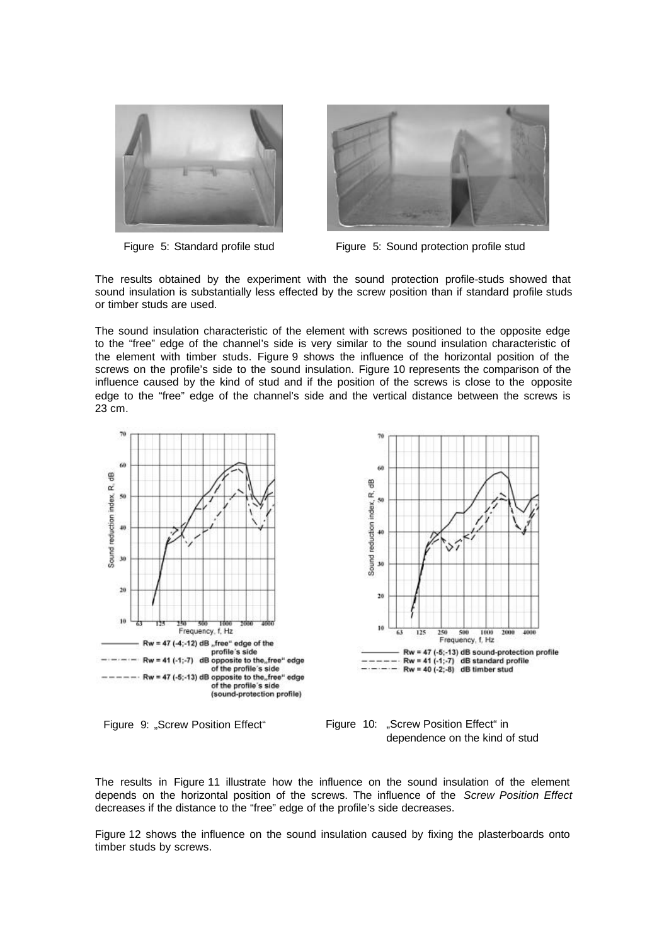



Figure 5: Standard profile stud Figure 5: Sound protection profile stud

The results obtained by the experiment with the sound protection profile-studs showed that sound insulation is substantially less effected by the screw position than if standard profile studs or timber studs are used.

The sound insulation characteristic of the element with screws positioned to the opposite edge to the "free" edge of the channel's side is very similar to the sound insulation characteristic of the element with timber studs. Figure 9 shows the influence of the horizontal position of the screws on the profile's side to the sound insulation. Figure 10 represents the comparison of the influence caused by the kind of stud and if the position of the screws is close to the opposite edge to the "free" edge of the channel's side and the vertical distance between the screws is 23 cm.



Figure 9: "Screw Position Effect" Figure 10: "Screw Position Effect" in dependence on the kind of stud

The results in Figure 11 illustrate how the influence on the sound insulation of the element depends on the horizontal position of the screws. The influence of the *Screw Position Effect* decreases if the distance to the "free" edge of the profile's side decreases.

Figure 12 shows the influence on the sound insulation caused by fixing the plasterboards onto timber studs by screws.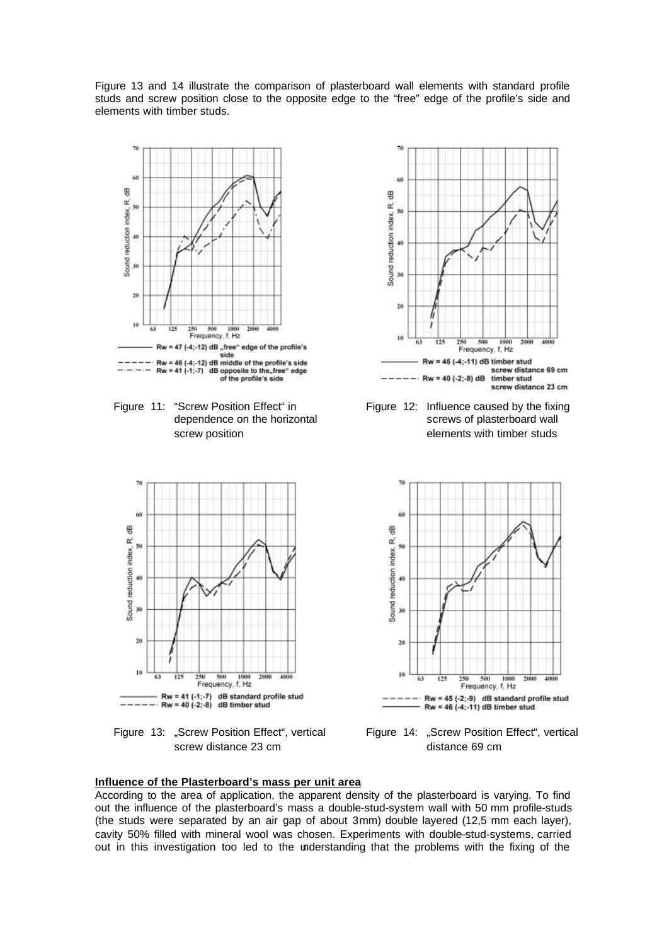Figure 13 and 14 illustrate the comparison of plasterboard wall elements with standard profile studs and screw position close to the opposite edge to the "free" edge of the profile's side and elements with timber studs.



Figure 11: "Screw Position Effect" in dependence on the horizontal screw position



Figure 13: "Screw Position Effect", vertical screw distance 23 cm



Figure 12: Influence caused by the fixing screws of plasterboard wall elements with timber studs



Figure 14: "Screw Position Effect", vertical distance 69 cm

# **Influence of the Plasterboard's mass per unit area**

According to the area of application, the apparent density of the plasterboard is varying. To find out the influence of the plasterboard's mass a double-stud-system wall with 50 mm profile-studs (the studs were separated by an air gap of about 3mm) double layered (12,5 mm each layer), cavity 50% filled with mineral wool was chosen. Experiments with double-stud-systems, carried out in this investigation too led to the understanding that the problems with the fixing of the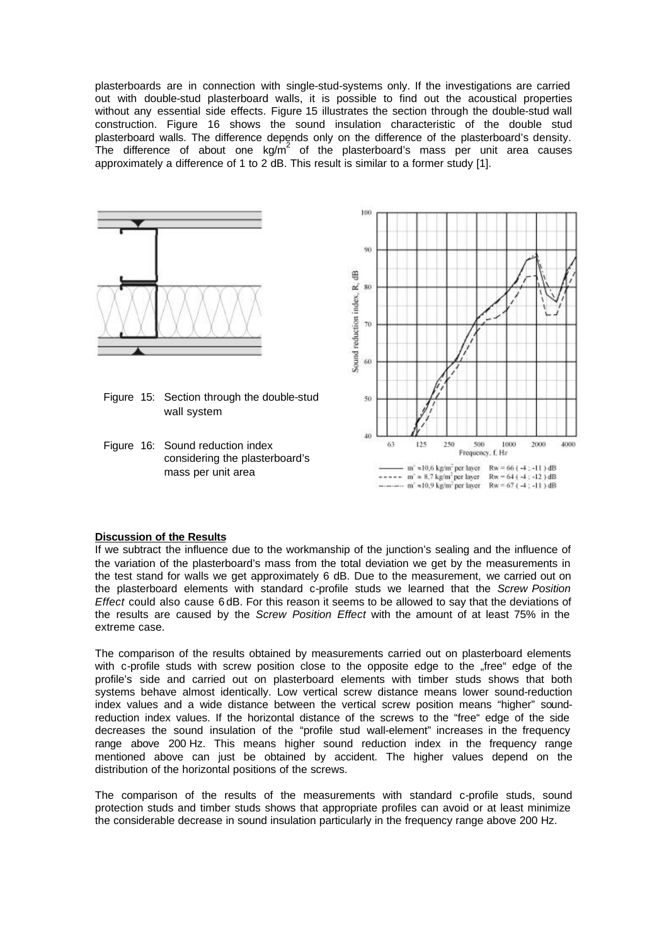plasterboards are in connection with single-stud-systems only. If the investigations are carried out with double-stud plasterboard walls, it is possible to find out the acoustical properties without any essential side effects. Figure 15 illustrates the section through the double-stud wall construction. Figure 16 shows the sound insulation characteristic of the double stud plasterboard walls. The difference depends only on the difference of the plasterboard's density. The difference of about one  $kg/m^2$  of the plasterboard's mass per unit area causes approximately a difference of 1 to 2 dB. This result is similar to a former study [1].



#### **Discussion of the Results**

If we subtract the influence due to the workmanship of the junction's sealing and the influence of the variation of the plasterboard's mass from the total deviation we get by the measurements in the test stand for walls we get approximately 6 dB. Due to the measurement, we carried out on the plasterboard elements with standard c-profile studs we learned that the *Screw Position Effect* could also cause 6 dB. For this reason it seems to be allowed to say that the deviations of the results are caused by the *Screw Position Effect* with the amount of at least 75% in the extreme case.

The comparison of the results obtained by measurements carried out on plasterboard elements with c-profile studs with screw position close to the opposite edge to the "free" edge of the profile's side and carried out on plasterboard elements with timber studs shows that both systems behave almost identically. Low vertical screw distance means lower sound-reduction index values and a wide distance between the vertical screw position means "higher" soundreduction index values. If the horizontal distance of the screws to the "free" edge of the side decreases the sound insulation of the "profile stud wall-element" increases in the frequency range above 200 Hz. This means higher sound reduction index in the frequency range mentioned above can just be obtained by accident. The higher values depend on the distribution of the horizontal positions of the screws.

The comparison of the results of the measurements with standard c-profile studs, sound protection studs and timber studs shows that appropriate profiles can avoid or at least minimize the considerable decrease in sound insulation particularly in the frequency range above 200 Hz.